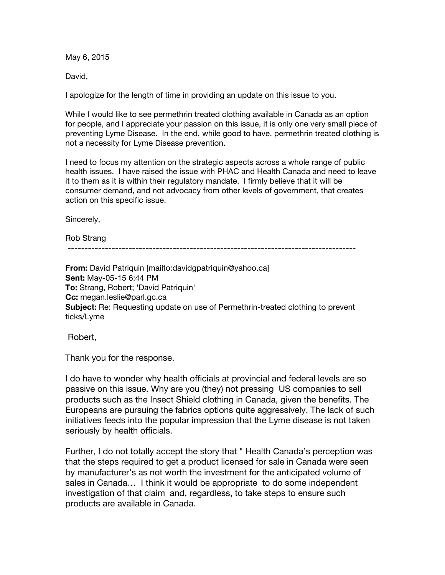May 6, 2015

David,

I apologize for the length of time in providing an update on this issue to you.

While I would like to see permethrin treated clothing available in Canada as an option for people, and I appreciate your passion on this issue, it is only one very small piece of preventing Lyme Disease. In the end, while good to have, permethrin treated clothing is not a necessity for Lyme Disease prevention.

I need to focus my attention on the strategic aspects across a whole range of public health issues. I have raised the issue with PHAC and Health Canada and need to leave it to them as it is within their regulatory mandate. I firmly believe that it will be consumer demand, and not advocacy from other levels of government, that creates action on this specific issue.

Sincerely,

Rob Strang

-------------------------------------------------------------------------------------

**From:** David Patriquin [mailto:davidgpatriquin@yahoo.ca] **Sent:** May-05-15 6:44 PM **To:** Strang, Robert; 'David Patriquin' **Cc:** megan.leslie@parl.gc.ca **Subject:** Re: Requesting update on use of Permethrin-treated clothing to prevent ticks/Lyme

Robert,

Thank you for the response.

I do have to wonder why health officials at provincial and federal levels are so passive on this issue. Why are you (they) not pressing US companies to sell products such as the Insect Shield clothing in Canada, given the benefits. The Europeans are pursuing the fabrics options quite aggressively. The lack of such initiatives feeds into the popular impression that the Lyme disease is not taken seriously by health officials.

Further, I do not totally accept the story that " Health Canada's perception was that the steps required to get a product licensed for sale in Canada were seen by manufacturer's as not worth the investment for the anticipated volume of sales in Canada… I think it would be appropriate to do some independent investigation of that claim and, regardless, to take steps to ensure such products are available in Canada.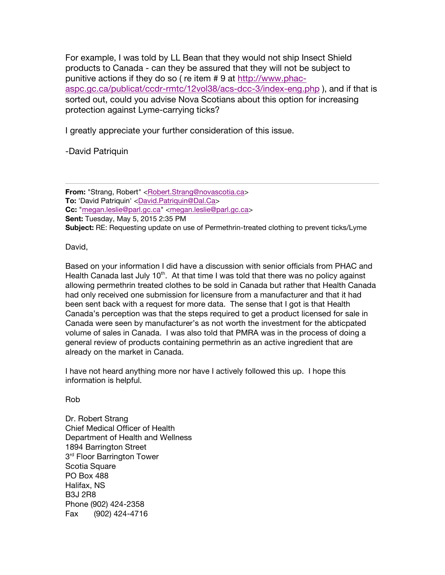For example, I was told by LL Bean that they would not ship Insect Shield products to Canada - can they be assured that they will not be subject to punitive actions if they do so ( re item # 9 at http://www.phacaspc.gc.ca/publicat/ccdr-rmtc/12vol38/acs-dcc-3/index-eng.php ), and if that is sorted out, could you advise Nova Scotians about this option for increasing protection against Lyme-carrying ticks?

I greatly appreciate your further consideration of this issue.

-David Patriquin

**From:** "Strang, Robert" <Robert.Strang@novascotia.ca> **To:** 'David Patriquin' <David.Patriquin@Dal.Ca> **Cc:** "megan.leslie@parl.gc.ca" <megan.leslie@parl.gc.ca> **Sent:** Tuesday, May 5, 2015 2:35 PM **Subject:** RE: Requesting update on use of Permethrin-treated clothing to prevent ticks/Lyme

David,

Based on your information I did have a discussion with senior officials from PHAC and Health Canada last July  $10<sup>th</sup>$ . At that time I was told that there was no policy against allowing permethrin treated clothes to be sold in Canada but rather that Health Canada had only received one submission for licensure from a manufacturer and that it had been sent back with a request for more data. The sense that I got is that Health Canada's perception was that the steps required to get a product licensed for sale in Canada were seen by manufacturer's as not worth the investment for the abticpated volume of sales in Canada. I was also told that PMRA was in the process of doing a general review of products containing permethrin as an active ingredient that are already on the market in Canada.

I have not heard anything more nor have I actively followed this up. I hope this information is helpful.

Rob

Dr. Robert Strang Chief Medical Officer of Health Department of Health and Wellness 1894 Barrington Street 3<sup>rd</sup> Floor Barrington Tower Scotia Square PO Box 488 Halifax, NS B3J 2R8 Phone (902) 424-2358 Fax (902) 424-4716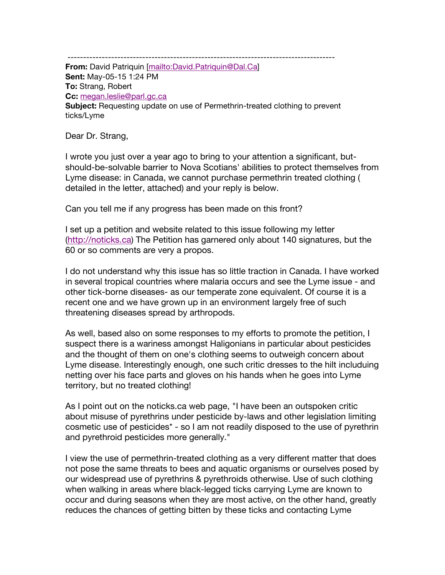-------------------------------------------------------------------------------------- **From:** David Patriquin [mailto:David.Patriquin@Dal.Ca] **Sent:** May-05-15 1:24 PM **To:** Strang, Robert **Cc:** megan.leslie@parl.gc.ca **Subject:** Requesting update on use of Permethrin-treated clothing to prevent ticks/Lyme

Dear Dr. Strang,

I wrote you just over a year ago to bring to your attention a significant, butshould-be-solvable barrier to Nova Scotians' abilities to protect themselves from Lyme disease: in Canada, we cannot purchase permethrin treated clothing ( detailed in the letter, attached) and your reply is below.

Can you tell me if any progress has been made on this front?

I set up a petition and website related to this issue following my letter (http://noticks.ca) The Petition has garnered only about 140 signatures, but the 60 or so comments are very a propos.

I do not understand why this issue has so little traction in Canada. I have worked in several tropical countries where malaria occurs and see the Lyme issue - and other tick-borne diseases- as our temperate zone equivalent. Of course it is a recent one and we have grown up in an environment largely free of such threatening diseases spread by arthropods.

As well, based also on some responses to my efforts to promote the petition, I suspect there is a wariness amongst Haligonians in particular about pesticides and the thought of them on one's clothing seems to outweigh concern about Lyme disease. Interestingly enough, one such critic dresses to the hilt includuing netting over his face parts and gloves on his hands when he goes into Lyme territory, but no treated clothing!

As I point out on the noticks.ca web page, "I have been an outspoken critic about misuse of pyrethrins under pesticide by-laws and other legislation limiting cosmetic use of pesticides\* - so I am not readily disposed to the use of pyrethrin and pyrethroid pesticides more generally."

I view the use of permethrin-treated clothing as a very different matter that does not pose the same threats to bees and aquatic organisms or ourselves posed by our widespread use of pyrethrins & pyrethroids otherwise. Use of such clothing when walking in areas where black-legged ticks carrying Lyme are known to occur and during seasons when they are most active, on the other hand, greatly reduces the chances of getting bitten by these ticks and contacting Lyme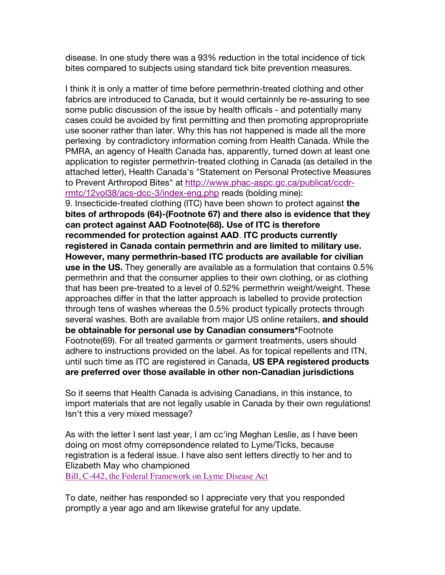disease. In one study there was a 93% reduction in the total incidence of tick bites compared to subjects using standard tick bite prevention measures.

I think it is only a matter of time before permethrin-treated clothing and other fabrics are introduced to Canada, but it would certainnly be re-assuring to see some public discussion of the issue by health officals - and potentially many cases could be avoided by first permitting and then promoting appropropriate use sooner rather than later. Why this has not happened is made all the more perlexing by contradictory information coming from Health Canada. While the PMRA, an agency of Health Canada has, apparently, turned down at least one application to register permethrin-treated clothing in Canada (as detailed in the attached letter), Health Canada's "Statement on Personal Protective Measures to Prevent Arthropod Bites" at http://www.phac-aspc.gc.ca/publicat/ccdrrmtc/12vol38/acs-dcc-3/index-eng.php reads (bolding mine):

9. Insecticide-treated clothing (ITC) have been shown to protect against **the bites of arthropods (64)-(Footnote 67) and there also is evidence that they can protect against AAD Footnote(68). Use of ITC is therefore recommended for protection against AAD**. **ITC products currently registered in Canada contain permethrin and are limited to military use. However, many permethrin-based ITC products are available for civilian use in the US.** They generally are available as a formulation that contains 0.5% permethrin and that the consumer applies to their own clothing, or as clothing that has been pre-treated to a level of 0.52% permethrin weight/weight. These approaches differ in that the latter approach is labelled to provide protection through tens of washes whereas the 0.5% product typically protects through several washes. Both are available from major US online retailers, **and should be obtainable for personal use by Canadian consumers\***Footnote Footnote(69). For all treated garments or garment treatments, users should adhere to instructions provided on the label. As for topical repellents and ITN, until such time as ITC are registered in Canada, **US EPA registered products are preferred over those available in other non-Canadian jurisdictions**

So it seems that Health Canada is advising Canadians, in this instance, to import materials that are not legally usable in Canada by their own regulations! Isn't this a very mixed message?

As with the letter I sent last year, I am cc'ing Meghan Leslie, as I have been doing on most ofmy correpsondence related to Lyme/Ticks, because registration is a federal issue. I have also sent letters directly to her and to Elizabeth May who championed

Bill, C-442, the Federal Framework on Lyme Disease Act

To date, neither has responded so I appreciate very that you responded promptly a year ago and am likewise grateful for any update.